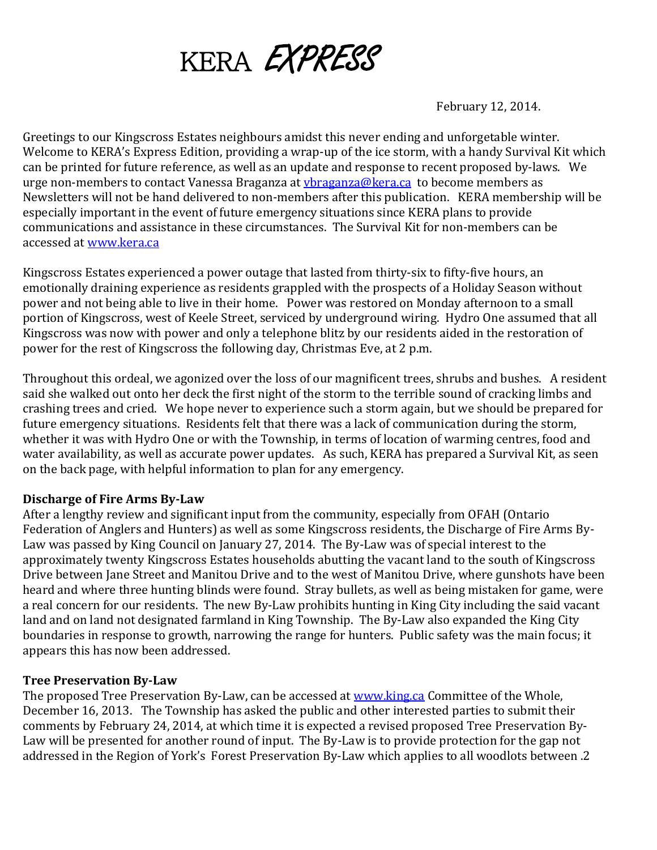

February 12, 2014.

Greetings to our Kingscross Estates neighbours amidst this never ending and unforgetable winter. Welcome to KERA's Express Edition, providing a wrap-up of the ice storm, with a handy Survival Kit which can be printed for future reference, as well as an update and response to recent proposed by-laws. We urge non-members to contact Vanessa Braganza at [vbraganza@kera.ca](mailto:vbraganza@kera.ca) to become members as Newsletters will not be hand delivered to non-members after this publication. KERA membership will be especially important in the event of future emergency situations since KERA plans to provide communications and assistance in these circumstances. The Survival Kit for non-members can be accessed at [www.kera.ca](http://www.kera.ca/)

Kingscross Estates experienced a power outage that lasted from thirty-six to fifty-five hours, an emotionally draining experience as residents grappled with the prospects of a Holiday Season without power and not being able to live in their home. Power was restored on Monday afternoon to a small portion of Kingscross, west of Keele Street, serviced by underground wiring. Hydro One assumed that all Kingscross was now with power and only a telephone blitz by our residents aided in the restoration of power for the rest of Kingscross the following day, Christmas Eve, at 2 p.m.

Throughout this ordeal, we agonized over the loss of our magnificent trees, shrubs and bushes. A resident said she walked out onto her deck the first night of the storm to the terrible sound of cracking limbs and crashing trees and cried. We hope never to experience such a storm again, but we should be prepared for future emergency situations. Residents felt that there was a lack of communication during the storm, whether it was with Hydro One or with the Township, in terms of location of warming centres, food and water availability, as well as accurate power updates. As such, KERA has prepared a Survival Kit, as seen on the back page, with helpful information to plan for any emergency.

#### **Discharge of Fire Arms By-Law**

After a lengthy review and significant input from the community, especially from OFAH (Ontario Federation of Anglers and Hunters) as well as some Kingscross residents, the Discharge of Fire Arms By-Law was passed by King Council on January 27, 2014. The By-Law was of special interest to the approximately twenty Kingscross Estates households abutting the vacant land to the south of Kingscross Drive between Jane Street and Manitou Drive and to the west of Manitou Drive, where gunshots have been heard and where three hunting blinds were found. Stray bullets, as well as being mistaken for game, were a real concern for our residents. The new By-Law prohibits hunting in King City including the said vacant land and on land not designated farmland in King Township. The By-Law also expanded the King City boundaries in response to growth, narrowing the range for hunters. Public safety was the main focus; it appears this has now been addressed.

#### **Tree Preservation By-Law**

The proposed Tree Preservation By-Law, can be accessed at [www.king.ca](http://www.king.ca/) Committee of the Whole, December 16, 2013. The Township has asked the public and other interested parties to submit their comments by February 24, 2014, at which time it is expected a revised proposed Tree Preservation By-Law will be presented for another round of input. The By-Law is to provide protection for the gap not addressed in the Region of York's Forest Preservation By-Law which applies to all woodlots between .2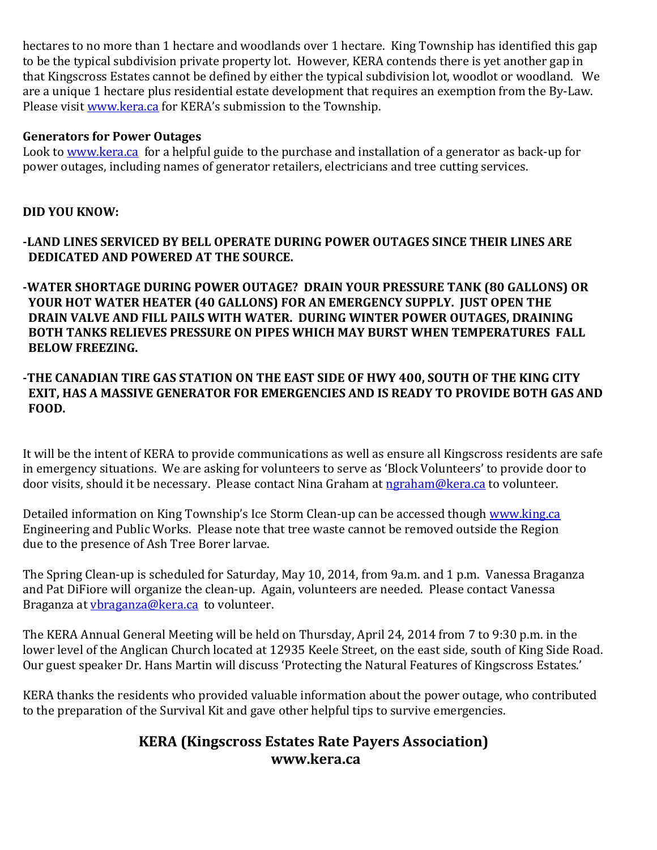hectares to no more than 1 hectare and woodlands over 1 hectare. King Township has identified this gap to be the typical subdivision private property lot. However, KERA contends there is yet another gap in that Kingscross Estates cannot be defined by either the typical subdivision lot, woodlot or woodland. We are a unique 1 hectare plus residential estate development that requires an exemption from the By-Law. Please visit [www.kera.ca](http://www.kera.ca/) for KERA's submission to the Township.

## **Generators for Power Outages**

Look to [www.kera.ca](http://www.kera.ca/) for a helpful guide to the purchase and installation of a generator as back-up for power outages, including names of generator retailers, electricians and tree cutting services.

# **DID YOU KNOW:**

**-LAND LINES SERVICED BY BELL OPERATE DURING POWER OUTAGES SINCE THEIR LINES ARE DEDICATED AND POWERED AT THE SOURCE.**

**-WATER SHORTAGE DURING POWER OUTAGE? DRAIN YOUR PRESSURE TANK (80 GALLONS) OR YOUR HOT WATER HEATER (40 GALLONS) FOR AN EMERGENCY SUPPLY. JUST OPEN THE DRAIN VALVE AND FILL PAILS WITH WATER. DURING WINTER POWER OUTAGES, DRAINING BOTH TANKS RELIEVES PRESSURE ON PIPES WHICH MAY BURST WHEN TEMPERATURES FALL BELOW FREEZING.**

## **-THE CANADIAN TIRE GAS STATION ON THE EAST SIDE OF HWY 400, SOUTH OF THE KING CITY EXIT, HAS A MASSIVE GENERATOR FOR EMERGENCIES AND IS READY TO PROVIDE BOTH GAS AND FOOD.**

It will be the intent of KERA to provide communications as well as ensure all Kingscross residents are safe in emergency situations. We are asking for volunteers to serve as 'Block Volunteers' to provide door to door visits, should it be necessary. Please contact Nina Graham a[t ngraham@kera.ca](mailto:ngraham@kera.ca) to volunteer.

Detailed information on King Township's Ice Storm Clean-up can be accessed though [www.king.ca](http://www.king.ca/) Engineering and Public Works. Please note that tree waste cannot be removed outside the Region due to the presence of Ash Tree Borer larvae.

The Spring Clean-up is scheduled for Saturday, May 10, 2014, from 9a.m. and 1 p.m. Vanessa Braganza and Pat DiFiore will organize the clean-up. Again, volunteers are needed. Please contact Vanessa Braganza at *ybraganza@kera.ca* to volunteer.

The KERA Annual General Meeting will be held on Thursday, April 24, 2014 from 7 to 9:30 p.m. in the lower level of the Anglican Church located at 12935 Keele Street, on the east side, south of King Side Road. Our guest speaker Dr. Hans Martin will discuss 'Protecting the Natural Features of Kingscross Estates.'

KERA thanks the residents who provided valuable information about the power outage, who contributed to the preparation of the Survival Kit and gave other helpful tips to survive emergencies.

# **KERA (Kingscross Estates Rate Payers Association) www.kera.ca**